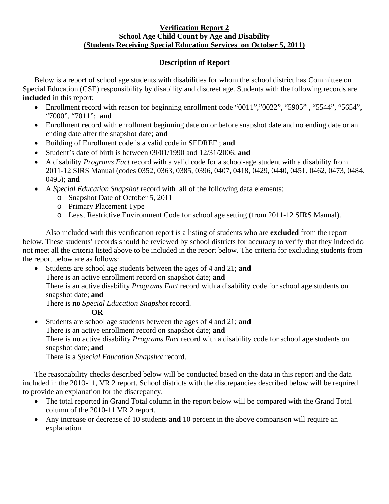## **Verification Report 2 School Age Child Count by Age and Disability (Students Receiving Special Education Services on October 5, 2011)**

## **Description of Report**

Below is a report of school age students with disabilities for whom the school district has Committee on Special Education (CSE) responsibility by disability and discreet age. Students with the following records are **included** in this report:

- Enrollment record with reason for beginning enrollment code "0011", "0022", "5905", "5544", "5654", "7000", "7011"; **and**
- Enrollment record with enrollment beginning date on or before snapshot date and no ending date or an ending date after the snapshot date; **and**
- Building of Enrollment code is a valid code in SEDREF ; **and**
- Student's date of birth is between 09/01/1990 and 12/31/2006; **and**
- A disability *Programs Fact* record with a valid code for a school-age student with a disability from 2011-12 SIRS Manual (codes 0352, 0363, 0385, 0396, 0407, 0418, 0429, 0440, 0451, 0462, 0473, 0484, 0495); **and**
- A *Special Education Snapshot* record with all of the following data elements:
	- o Snapshot Date of October 5, 2011
	- o Primary Placement Type
	- o Least Restrictive Environment Code for school age setting (from 2011-12 SIRS Manual).

Also included with this verification report is a listing of students who are **excluded** from the report below. These students' records should be reviewed by school districts for accuracy to verify that they indeed do not meet all the criteria listed above to be included in the report below. The criteria for excluding students from the report below are as follows:

• Students are school age students between the ages of 4 and 21; **and**  There is an active enrollment record on snapshot date; **and** There is an active disability *Programs Fact* record with a disability code for school age students on snapshot date; **and**  There is **no** *Special Education Snapshot* record.

## **OR**

• Students are school age students between the ages of 4 and 21; **and** There is an active enrollment record on snapshot date; **and** There is **no** active disability *Programs Fact* record with a disability code for school age students on snapshot date; **and**  There is a *Special Education Snapshot* record.

The reasonability checks described below will be conducted based on the data in this report and the data included in the 2010-11, VR 2 report. School districts with the discrepancies described below will be required to provide an explanation for the discrepancy.

- The total reported in Grand Total column in the report below will be compared with the Grand Total column of the 2010-11 VR 2 report.
- Any increase or decrease of 10 students **and** 10 percent in the above comparison will require an explanation.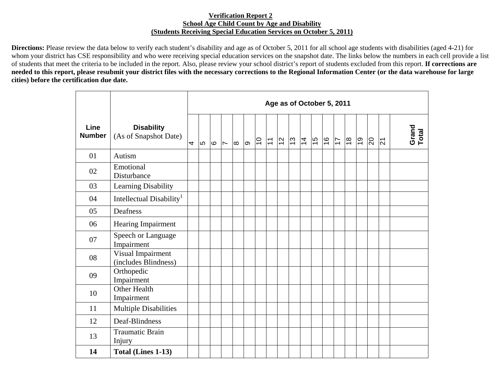## **Verification Report 2 School Age Child Count by Age and Disability (Students Receiving Special Education Services on October 5, 2011)**

**Directions:** Please review the data below to verify each student's disability and age as of October 5, 2011 for all school age students with disabilities (aged 4-21) for whom your district has CSE responsibility and who were receiving special education services on the snapshot date. The links below the numbers in each cell provide a list of students that meet the criteria to be included in the report. Also, please review your school district's report of students excluded from this report. **If corrections are needed to this report, please resubmit your district files with the necessary corrections to the Regional Information Center (or the data warehouse for large cities) before the certification due date.** 

|                       |                                            | Age as of October 5, 2011 |      |      |                          |          |     |                |                           |                |               |  |               |               |                |                |            |                |                |                |
|-----------------------|--------------------------------------------|---------------------------|------|------|--------------------------|----------|-----|----------------|---------------------------|----------------|---------------|--|---------------|---------------|----------------|----------------|------------|----------------|----------------|----------------|
| Line<br><b>Number</b> | <b>Disability</b><br>(As of Snapshot Date) | 4                         | l LO | l Co | $\overline{\phantom{a}}$ | $\infty$ | စြာ | $\overline{C}$ | $\overline{\overline{L}}$ | $\overline{2}$ | $\frac{1}{2}$ |  | $\frac{6}{7}$ | $\frac{9}{2}$ | $\overline{1}$ | $\frac{8}{10}$ | <u>ြင္</u> | $\overline{5}$ | $\overline{z}$ | Grand<br>Total |
| 01                    | Autism                                     |                           |      |      |                          |          |     |                |                           |                |               |  |               |               |                |                |            |                |                |                |
| 02                    | Emotional<br>Disturbance                   |                           |      |      |                          |          |     |                |                           |                |               |  |               |               |                |                |            |                |                |                |
| 03                    | Learning Disability                        |                           |      |      |                          |          |     |                |                           |                |               |  |               |               |                |                |            |                |                |                |
| 04                    | Intellectual Disability <sup>1</sup>       |                           |      |      |                          |          |     |                |                           |                |               |  |               |               |                |                |            |                |                |                |
| 05                    | Deafness                                   |                           |      |      |                          |          |     |                |                           |                |               |  |               |               |                |                |            |                |                |                |
| 06                    | <b>Hearing Impairment</b>                  |                           |      |      |                          |          |     |                |                           |                |               |  |               |               |                |                |            |                |                |                |
| 07                    | Speech or Language<br>Impairment           |                           |      |      |                          |          |     |                |                           |                |               |  |               |               |                |                |            |                |                |                |
| 08                    | Visual Impairment<br>(includes Blindness)  |                           |      |      |                          |          |     |                |                           |                |               |  |               |               |                |                |            |                |                |                |
| 09                    | Orthopedic<br>Impairment                   |                           |      |      |                          |          |     |                |                           |                |               |  |               |               |                |                |            |                |                |                |
| 10                    | Other Health<br>Impairment                 |                           |      |      |                          |          |     |                |                           |                |               |  |               |               |                |                |            |                |                |                |
| 11                    | <b>Multiple Disabilities</b>               |                           |      |      |                          |          |     |                |                           |                |               |  |               |               |                |                |            |                |                |                |
| 12                    | Deaf-Blindness                             |                           |      |      |                          |          |     |                |                           |                |               |  |               |               |                |                |            |                |                |                |
| 13                    | <b>Traumatic Brain</b><br>Injury           |                           |      |      |                          |          |     |                |                           |                |               |  |               |               |                |                |            |                |                |                |
| 14                    | Total (Lines 1-13)                         |                           |      |      |                          |          |     |                |                           |                |               |  |               |               |                |                |            |                |                |                |